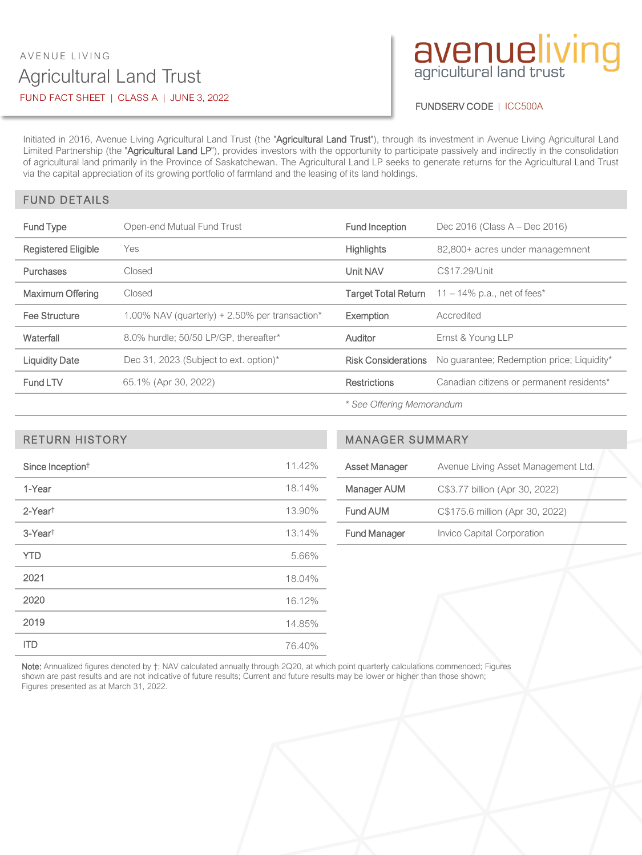## Agricultural Land Trust AVENUE LIVING FUND FACT SHEET | CLASS A | JUNE 3, 2022

# avenueliving

#### FUNDSERV CODE | ICC500A

Initiated in 2016, Avenue Living Agricultural Land Trust (the "Agricultural Land Trust"), through its investment in Avenue Living Agricultural Land Limited Partnership (the "Agricultural Land LP"), provides investors with the opportunity to participate passively and indirectly in the consolidation of agricultural land primarily in the Province of Saskatchewan. The Agricultural Land LP seeks to generate returns for the Agricultural Land Trust via the capital appreciation of its growing portfolio of farmland and the leasing of its land holdings.

#### FUND DETAILS

| <b>Fund Type</b>           | Open-end Mutual Fund Trust                        | <b>Fund Inception</b>      | Dec 2016 (Class $A - Dec$ 2016)            |
|----------------------------|---------------------------------------------------|----------------------------|--------------------------------------------|
| <b>Registered Eligible</b> | Yes                                               | <b>Highlights</b>          | 82,800+ acres under managemnent            |
| Purchases                  | Closed                                            | Unit NAV                   | C\$17.29/Unit                              |
| Maximum Offering           | Closed                                            | Target Total Return        | 11 – 14% p.a., net of fees*                |
|                            |                                                   |                            |                                            |
| Fee Structure              | 1.00% NAV (quarterly) $+ 2.50\%$ per transaction* | Exemption                  | Accredited                                 |
| Waterfall                  | 8.0% hurdle: 50/50 LP/GP, thereafter*             | Auditor                    | Ernst & Young LLP                          |
| <b>Liquidity Date</b>      | Dec 31, 2023 (Subject to ext. option)*            | <b>Risk Considerations</b> | No quarantee; Redemption price; Liquidity* |
| Fund LTV                   | 65.1% (Apr 30, 2022)                              | <b>Restrictions</b>        | Canadian citizens or permanent residents*  |

*\* See Offering Memorandum*

| Since Inception <sup>t</sup> | 11.42% |  |
|------------------------------|--------|--|
| 1-Year                       | 18.14% |  |
| 2-Yeart                      | 13.90% |  |
| 3-Year <sup>t</sup>          | 13.14% |  |
| <b>YTD</b>                   | 5.66%  |  |
| 2021                         | 18.04% |  |
| 2020                         | 16.12% |  |
| 2019                         | 14.85% |  |
| <b>ITD</b>                   | 76.40% |  |

## RETURN HISTORY MANAGER SUMMARY

| Asset Manager       | Avenue Living Asset Management Ltd. |
|---------------------|-------------------------------------|
| Manager AUM         | C\$3.77 billion (Apr 30, 2022)      |
| Fund AUM            | C\$175.6 million (Apr 30, 2022)     |
| <b>Fund Manager</b> | Invico Capital Corporation          |

Note: Annualized figures denoted by  $\dagger$ ; NAV calculated annually through 2Q20, at which point quarterly calculations commenced; Figures shown are past results and are not indicative of future results; Current and future results may be lower or higher than those shown; Figures presented as at March 31, 2022.